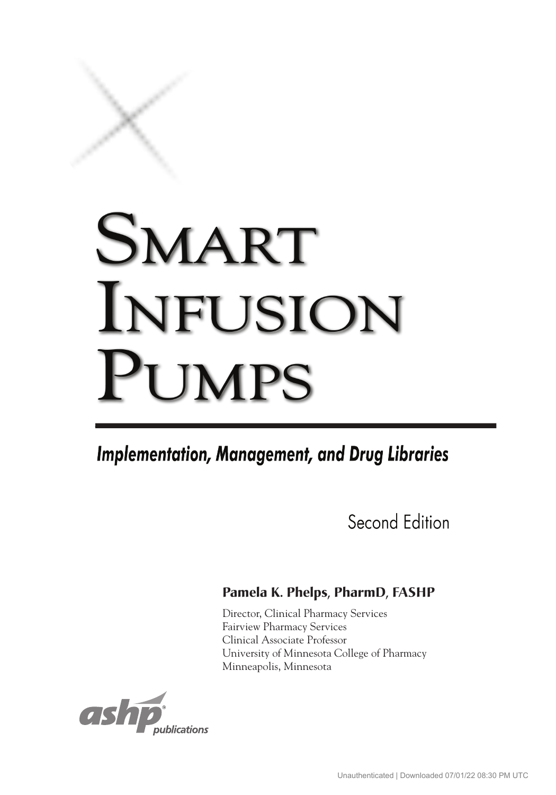# SMART INFUSION **UMPS**

### **Implementation, Management, and Drug Libraries**

Second Edition

#### **Pamela K. Phelps, PharmD, FASHP**

Director, Clinical Pharmacy Services Fairview Pharmacy Services Clinical Associate Professor University of Minnesota College of Pharmacy Minneapolis, Minnesota

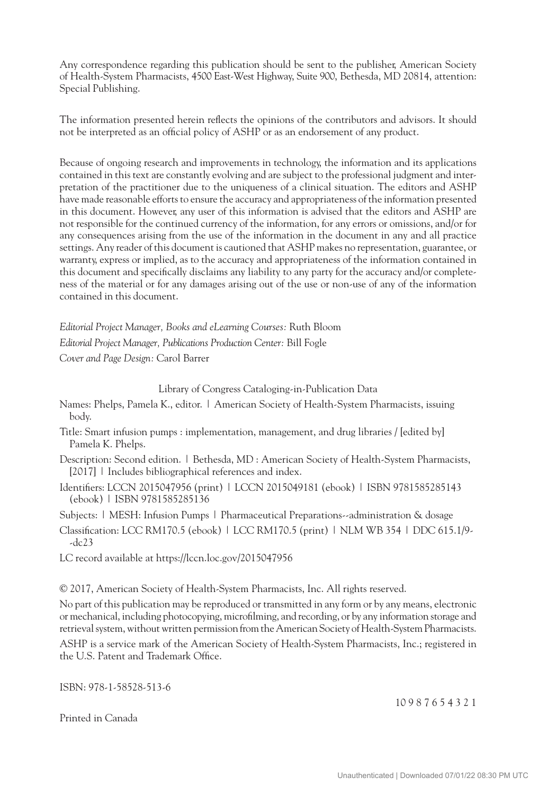Any correspondence regarding this publication should be sent to the publisher, American Society of Health-System Pharmacists, 4500 East-West Highway, Suite 900, Bethesda, MD 20814, attention: Special Publishing.

The information presented herein reflects the opinions of the contributors and advisors. It should not be interpreted as an official policy of ASHP or as an endorsement of any product.

Because of ongoing research and improvements in technology, the information and its applications contained in this text are constantly evolving and are subject to the professional judgment and interpretation of the practitioner due to the uniqueness of a clinical situation. The editors and ASHP have made reasonable efforts to ensure the accuracy and appropriateness of the information presented in this document. However, any user of this information is advised that the editors and ASHP are not responsible for the continued currency of the information, for any errors or omissions, and/or for any consequences arising from the use of the information in the document in any and all practice settings. Any reader of this document is cautioned that ASHP makes no representation, guarantee, or warranty, express or implied, as to the accuracy and appropriateness of the information contained in this document and specifically disclaims any liability to any party for the accuracy and/or completeness of the material or for any damages arising out of the use or non-use of any of the information contained in this document.

*Editorial Project Manager, Books and eLearning Courses:* Ruth Bloom *Editorial Project Manager, Publications Production Center:* Bill Fogle *Cover and Page Design:* Carol Barrer

#### Library of Congress Cataloging-in-Publication Data

Names: Phelps, Pamela K., editor. | American Society of Health-System Pharmacists, issuing body.

Title: Smart infusion pumps : implementation, management, and drug libraries / [edited by] Pamela K. Phelps.

Description: Second edition. | Bethesda, MD : American Society of Health-System Pharmacists, [2017] | Includes bibliographical references and index.

Identifiers: LCCN 2015047956 (print) | LCCN 2015049181 (ebook) | ISBN 9781585285143 (ebook) | ISBN 9781585285136

Subjects: | MESH: Infusion Pumps | Pharmaceutical Preparations--administration & dosage

Classification: LCC RM170.5 (ebook) | LCC RM170.5 (print) | NLM WB 354 | DDC 615.1/9- -dc23

LC record available at https://lccn.loc.gov/2015047956

© 2017, American Society of Health-System Pharmacists, Inc. All rights reserved.

No part of this publication may be reproduced or transmitted in any form or by any means, electronic or mechanical, including photocopying, microfilming, and recording, or by any information storage and retrieval system, without written permission from the American Society of Health-System Pharmacists.

ASHP is a service mark of the American Society of Health-System Pharmacists, Inc.; registered in the U.S. Patent and Trademark Office.

ISBN: 978-1-58528-513-6

10 9 8 7 6 5 4 3 2 1

Printed in Canada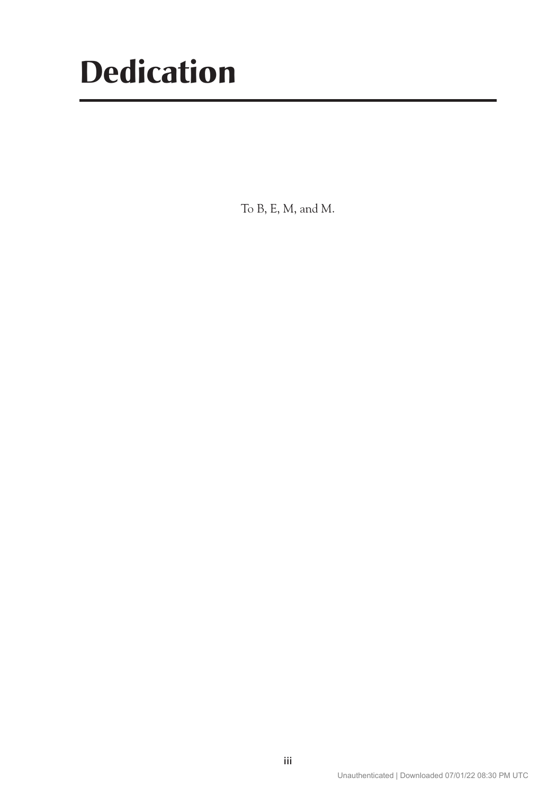### **Dedication**

To B, E, M, and M.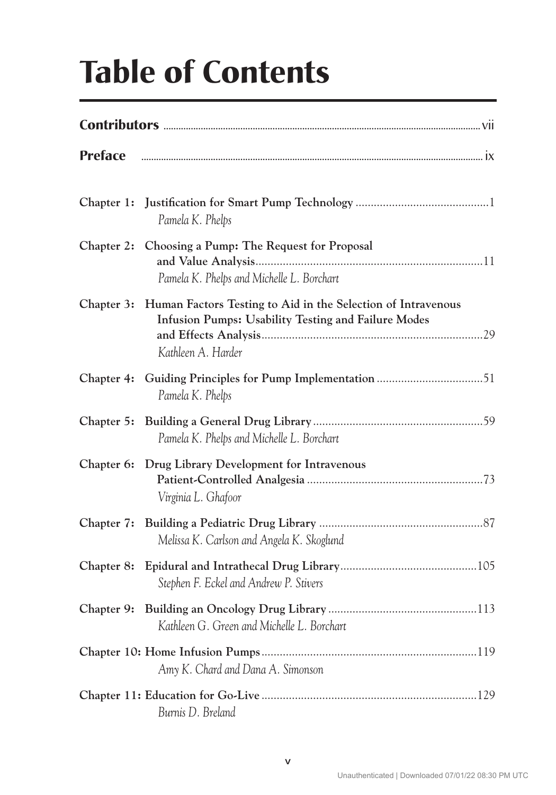## **Table of Contents**

| <b>Preface</b> |                                                                                                                                                             |
|----------------|-------------------------------------------------------------------------------------------------------------------------------------------------------------|
|                | Pamela K. Phelps                                                                                                                                            |
|                | Chapter 2: Choosing a Pump: The Request for Proposal<br>Pamela K. Phelps and Michelle L. Borchart                                                           |
|                | Chapter 3: Human Factors Testing to Aid in the Selection of Intravenous<br><b>Infusion Pumps: Usability Testing and Failure Modes</b><br>Kathleen A. Harder |
|                | Pamela K. Phelps                                                                                                                                            |
|                | Pamela K. Phelps and Michelle L. Borchart                                                                                                                   |
|                | Chapter 6: Drug Library Development for Intravenous<br>Virginia L. Ghafoor                                                                                  |
|                | Melissa K. Carlson and Angela K. Skoglund                                                                                                                   |
|                | Stephen F. Eckel and Andrew P. Stivers                                                                                                                      |
|                | Kathleen G. Green and Michelle L. Borchart                                                                                                                  |
|                | Amy K. Chard and Dana A. Simonson                                                                                                                           |
|                | Burnis D. Breland                                                                                                                                           |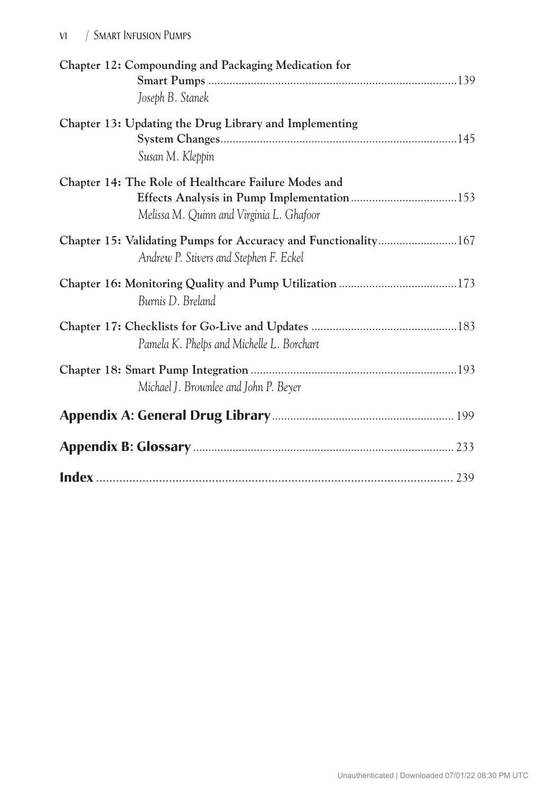| Chapter 12: Compounding and Packaging Medication for<br>Joseph B. Stanek                                 |
|----------------------------------------------------------------------------------------------------------|
| Chapter 13: Updating the Drug Library and Implementing<br>Susan M. Kleppin                               |
| Chapter 14: The Role of Healthcare Failure Modes and<br>Melissa M. Quinn and Virginia L. Ghafoor         |
| Chapter 15: Validating Pumps for Accuracy and Functionality167<br>Andrew P. Stivers and Stephen F. Eckel |
| Burnis D. Breland                                                                                        |
| Pamela K. Phelps and Michelle L. Borchart                                                                |
| Michael J. Brownlee and John P. Beyer                                                                    |
|                                                                                                          |
|                                                                                                          |
|                                                                                                          |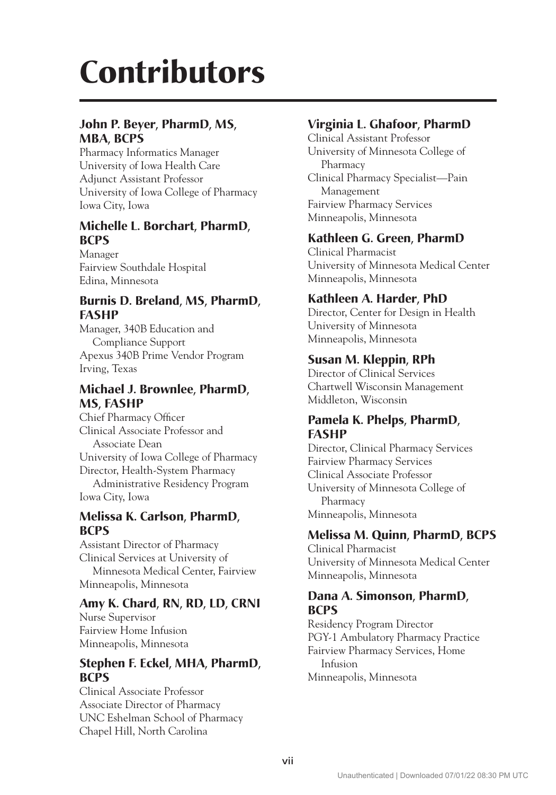### <span id="page-6-0"></span>**Contributors**

#### **John P. Beyer, PharmD, MS, MBA, BCPS**

Pharmacy Informatics Manager University of Iowa Health Care Adjunct Assistant Professor University of Iowa College of Pharmacy Iowa City, Iowa

#### **Michelle L. Borchart, PharmD, BCPS**

Manager Fairview Southdale Hospital Edina, Minnesota

#### **Burnis D. Breland, MS, PharmD, FASHP**

Manager, 340B Education and Compliance Support Apexus 340B Prime Vendor Program Irving, Texas

#### **Michael J. Brownlee, PharmD, MS, FASHP**

Chief Pharmacy Officer Clinical Associate Professor and Associate Dean University of Iowa College of Pharmacy Director, Health-System Pharmacy Administrative Residency Program Iowa City, Iowa

#### **Melissa K. Carlson, PharmD, BCPS**

Assistant Director of Pharmacy Clinical Services at University of Minnesota Medical Center, Fairview Minneapolis, Minnesota

#### **Amy K. Chard, RN, RD, LD, CRNI**

Nurse Supervisor Fairview Home Infusion Minneapolis, Minnesota

#### **Stephen F. Eckel, MHA, PharmD, BCPS**

Clinical Associate Professor Associate Director of Pharmacy UNC Eshelman School of Pharmacy Chapel Hill, North Carolina

#### **Virginia L. Ghafoor, PharmD**

Clinical Assistant Professor University of Minnesota College of Pharmacy Clinical Pharmacy Specialist—Pain Management Fairview Pharmacy Services Minneapolis, Minnesota

#### **Kathleen G. Green, PharmD**

Clinical Pharmacist University of Minnesota Medical Center Minneapolis, Minnesota

#### **Kathleen A. Harder, PhD**

Director, Center for Design in Health University of Minnesota Minneapolis, Minnesota

#### **Susan M. Kleppin, RPh**

Director of Clinical Services Chartwell Wisconsin Management Middleton, Wisconsin

#### **Pamela K. Phelps, PharmD, FASHP**

Director, Clinical Pharmacy Services Fairview Pharmacy Services Clinical Associate Professor University of Minnesota College of Pharmacy Minneapolis, Minnesota

#### **Melissa M. Quinn, PharmD, BCPS**

Clinical Pharmacist University of Minnesota Medical Center Minneapolis, Minnesota

#### **Dana A. Simonson, PharmD, BCPS**

Residency Program Director PGY-1 Ambulatory Pharmacy Practice Fairview Pharmacy Services, Home Infusion Minneapolis, Minnesota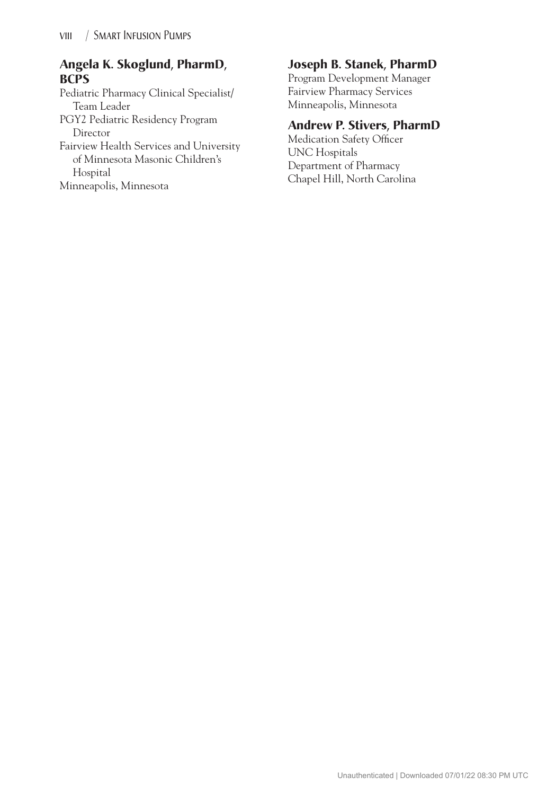#### **Angela K. Skoglund, PharmD, BCPS**

Pediatric Pharmacy Clinical Specialist/ Team Leader PGY2 Pediatric Residency Program Director Fairview Health Services and University of Minnesota Masonic Children's

Hospital Minneapolis, Minnesota

#### **Joseph B. Stanek, PharmD**

Program Development Manager Fairview Pharmacy Services Minneapolis, Minnesota

#### **Andrew P. Stivers, PharmD**

Medication Safety Officer UNC Hospitals Department of Pharmacy Chapel Hill, North Carolina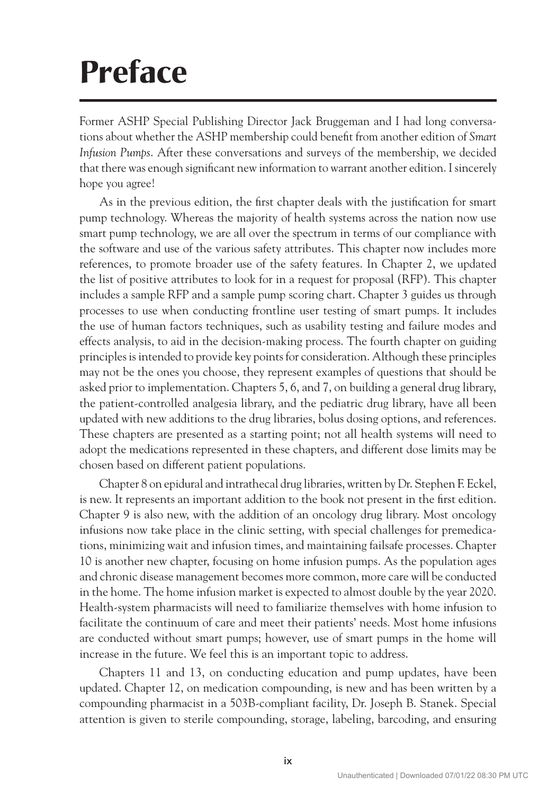### <span id="page-8-0"></span>**Preface**

Former ASHP Special Publishing Director Jack Bruggeman and I had long conversations about whether the ASHP membership could benefit from another edition of *Smart Infusion Pumps*. After these conversations and surveys of the membership, we decided that there was enough significant new information to warrant another edition. I sincerely hope you agree!

As in the previous edition, the first chapter deals with the justification for smart pump technology. Whereas the majority of health systems across the nation now use smart pump technology, we are all over the spectrum in terms of our compliance with the software and use of the various safety attributes. This chapter now includes more references, to promote broader use of the safety features. In Chapter 2, we updated the list of positive attributes to look for in a request for proposal (RFP). This chapter includes a sample RFP and a sample pump scoring chart. Chapter 3 guides us through processes to use when conducting frontline user testing of smart pumps. It includes the use of human factors techniques, such as usability testing and failure modes and effects analysis, to aid in the decision-making process. The fourth chapter on guiding principles is intended to provide key points for consideration. Although these principles may not be the ones you choose, they represent examples of questions that should be asked prior to implementation. Chapters 5, 6, and 7, on building a general drug library, the patient-controlled analgesia library, and the pediatric drug library, have all been updated with new additions to the drug libraries, bolus dosing options, and references. These chapters are presented as a starting point; not all health systems will need to adopt the medications represented in these chapters, and different dose limits may be chosen based on different patient populations.

Chapter 8 on epidural and intrathecal drug libraries, written by Dr. Stephen F. Eckel, is new. It represents an important addition to the book not present in the first edition. Chapter 9 is also new, with the addition of an oncology drug library. Most oncology infusions now take place in the clinic setting, with special challenges for premedications, minimizing wait and infusion times, and maintaining failsafe processes. Chapter 10 is another new chapter, focusing on home infusion pumps. As the population ages and chronic disease management becomes more common, more care will be conducted in the home. The home infusion market is expected to almost double by the year 2020. Health-system pharmacists will need to familiarize themselves with home infusion to facilitate the continuum of care and meet their patients' needs. Most home infusions are conducted without smart pumps; however, use of smart pumps in the home will increase in the future. We feel this is an important topic to address.

Chapters 11 and 13, on conducting education and pump updates, have been updated. Chapter 12, on medication compounding, is new and has been written by a compounding pharmacist in a 503B-compliant facility, Dr. Joseph B. Stanek. Special attention is given to sterile compounding, storage, labeling, barcoding, and ensuring